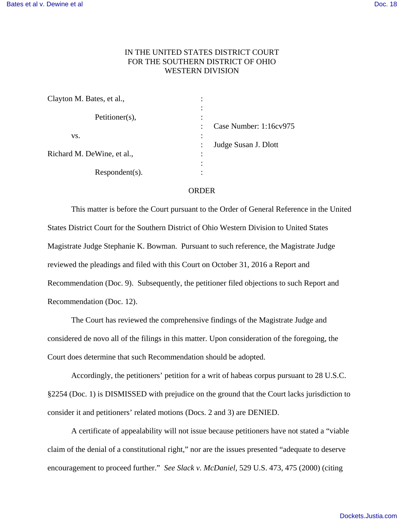## IN THE UNITED STATES DISTRICT COURT FOR THE SOUTHERN DISTRICT OF OHIO WESTERN DIVISION

| Clayton M. Bates, et al.,  |                                               |
|----------------------------|-----------------------------------------------|
| Petitioner(s),             | ٠<br>٠<br>Case Number: 1:16cv975<br>$\bullet$ |
| VS.                        | ٠                                             |
| Richard M. DeWine, et al., | Judge Susan J. Dlott<br>٠                     |
| $Respondent(s)$ .          |                                               |

## ORDER

This matter is before the Court pursuant to the Order of General Reference in the United States District Court for the Southern District of Ohio Western Division to United States Magistrate Judge Stephanie K. Bowman. Pursuant to such reference, the Magistrate Judge reviewed the pleadings and filed with this Court on October 31, 2016 a Report and Recommendation (Doc. 9). Subsequently, the petitioner filed objections to such Report and Recommendation (Doc. 12).

The Court has reviewed the comprehensive findings of the Magistrate Judge and considered de novo all of the filings in this matter. Upon consideration of the foregoing, the Court does determine that such Recommendation should be adopted.

Accordingly, the petitioners' petition for a writ of habeas corpus pursuant to 28 U.S.C. §2254 (Doc. 1) is DISMISSED with prejudice on the ground that the Court lacks jurisdiction to consider it and petitioners' related motions (Docs. 2 and 3) are DENIED.

A certificate of appealability will not issue because petitioners have not stated a "viable claim of the denial of a constitutional right," nor are the issues presented "adequate to deserve encouragement to proceed further." *See Slack v. McDaniel,* 529 U.S. 473, 475 (2000) (citing